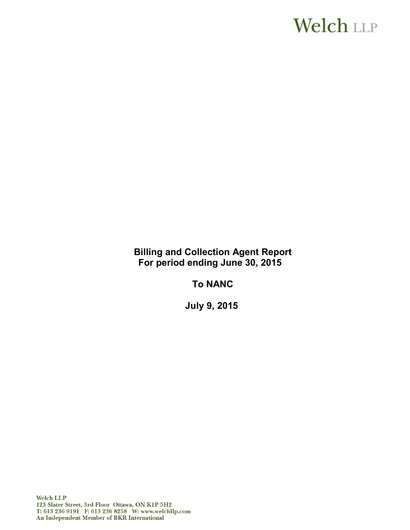# **Welch LLP**

**Billing and Collection Agent Report For period ending June 30, 2015**

**To NANC**

**July 9, 2015**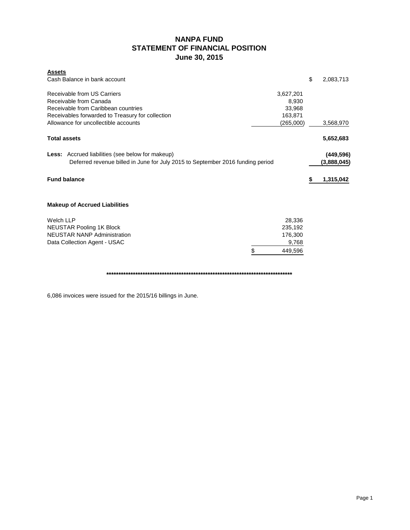# **NANPA FUND STATEMENT OF FINANCIAL POSITION June 30, 2015**

| <b>Assets</b><br>Cash Balance in bank account                                                                                                                                            |                                                      | \$<br>2,083,713           |
|------------------------------------------------------------------------------------------------------------------------------------------------------------------------------------------|------------------------------------------------------|---------------------------|
| Receivable from US Carriers<br>Receivable from Canada<br>Receivable from Caribbean countries<br>Receivables forwarded to Treasury for collection<br>Allowance for uncollectible accounts | 3,627,201<br>8,930<br>33,968<br>163.871<br>(265,000) | 3,568,970                 |
| <b>Total assets</b>                                                                                                                                                                      |                                                      | 5,652,683                 |
| <b>Less:</b> Accrued liabilities (see below for makeup)<br>Deferred revenue billed in June for July 2015 to September 2016 funding period                                                |                                                      | (449, 596)<br>(3,888,045) |
| <b>Fund balance</b>                                                                                                                                                                      |                                                      | 1,315,042                 |
| <b>Makeup of Accrued Liabilities</b>                                                                                                                                                     |                                                      |                           |
| <b>Welch LLP</b><br><b>NEUSTAR Pooling 1K Block</b><br><b>NEUSTAR NANP Administration</b><br>Data Collection Agent - USAC<br>\$                                                          | 28,336<br>235,192<br>176,300<br>9,768<br>449,596     |                           |
|                                                                                                                                                                                          |                                                      |                           |

6,086 invoices were issued for the 2015/16 billings in June.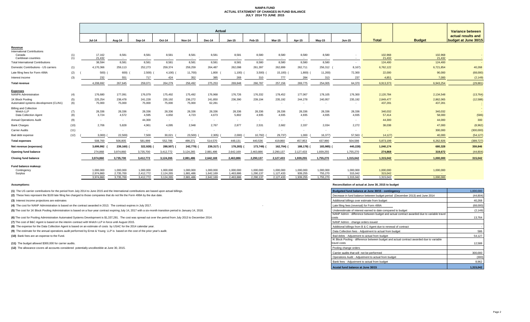#### **NANPA FUND ACTUAL STATEMENT OF CHANGES IN FUND BALANCE JULY 2014 TO JUNE 2015**

|                                                           |            | <b>Actual</b>          |                        |                        |                        |                        |                        |                          |                        |                          |                      |                      |                                    |                      |                      | <b>Variance between</b>                    |  |
|-----------------------------------------------------------|------------|------------------------|------------------------|------------------------|------------------------|------------------------|------------------------|--------------------------|------------------------|--------------------------|----------------------|----------------------|------------------------------------|----------------------|----------------------|--------------------------------------------|--|
|                                                           |            | Jul-14                 | Aug-14                 | Sep-14                 | Oct-14                 | <b>Nov-14</b>          | Dec-14                 | Jan-15                   | Feb-15                 | Mar-15                   | Apr-15               | Mav-15               | <b>Jun-15</b>                      | <b>Total</b>         | <b>Budget</b>        | actual results and<br>budget at June 30/15 |  |
| Revenue                                                   |            |                        |                        |                        |                        |                        |                        |                          |                        |                          |                      |                      |                                    |                      |                      |                                            |  |
| <b>International Contributions</b>                        |            |                        |                        |                        |                        |                        |                        |                          |                        |                          |                      |                      |                                    |                      |                      |                                            |  |
| Canada<br>Caribbean countries                             | (1)<br>(1) | 17,162<br>21.432       | 8,581<br>$\sim$ $-$    | 8,581<br>$\sim$ $-$    | 8,581<br>$\sim$        | 8,581<br>$\sim$        | 8,581                  | 8,581<br>$\sim$          | 8,580<br>$\sim$        | 8,580<br>$\sim$          | 8,580<br>$\sim$      | 8,580                | $\overline{\phantom{a}}$<br>$\sim$ | 102,968<br>21,432    | 102,968<br>21,432    | $\sim$                                     |  |
| <b>Total International Contributions</b>                  |            | 38,594                 | 8,581                  | 8,581                  | 8,581                  | 8,581                  | 8,581                  | 8,581                    | 8,580                  | 8,580                    | 8,580                | 8,580                | $\sim$                             | 124,400              | 124,400              | $\sim$ $-$                                 |  |
| Domestic Contributions - US carriers                      | (1)        | 4,170,366              | 259,113                | 252,273                | 259,374                | 259,259                | 264,487                | 262,098                  | 261,397                | 262,899                  | 262,711              | 256,312              | 8,167)                             | 6,762,122            | 6,721,854            | 40,268                                     |  |
| Late filing fees for Form 499A                            | (2)        | 500)                   | 600)                   | 2,500                  | $4,100$ )              | 11,700)                | 1,800                  | $1,100)$ (               | 3,500                  | $15,100$ (               | 1,800                | 11,200)              | 72,300                             | 22,000               | 90,000               | (68,000)                                   |  |
| Interest income                                           | (3)        | 232                    | 551                    | 717                    | 424                    | 352                    | 385                    | 269                      | 310                    | 777                      | 284                  | 313                  | 237                                | 4.851                | 7.000                | (2, 149)                                   |  |
| <b>Total revenue</b>                                      |            | 4,208,692              | 267,645                | 259,071                | 264,279                | 256,492                | 275,253                | 269,848                  | 266,787                | 257,156                  | 269,775              | 254,005              | 64,370                             | 6,913,373            | 6,943,254            | (29, 881)                                  |  |
|                                                           |            |                        |                        |                        |                        |                        |                        |                          |                        |                          |                      |                      |                                    |                      |                      |                                            |  |
| <b>Expenses</b><br><b>NANPA Administration</b>            | (4)        | 176,680                | 177,091                | 176,079                | 175,492                | 175,492                | 176,968                | 176,726                  | 176,332                | 178,452                  | 177,067              | 178,105              | 176,300                            | 2,120,784            | 2,134,548            | (13, 764)                                  |  |
| 1K Block Pooling<br>Automated systems development (CLIN1) | (5)<br>(6) | 225,254<br>75,000      | 238,478<br>75,000      | 241,228<br>75,000      | 235,192<br>75,000      | 236,272<br>75,000      | 241,850<br>62,281      | 236,390<br>$\sim$        | 239,194<br>$\sim$      | 235,192<br>$\sim$        | 244,278<br>$\sim$    | 240,957              | 235,192                            | 2,849,477<br>437,281 | 2,862,065<br>437,281 | (12, 588)                                  |  |
| <b>Billing and Collection</b>                             |            |                        |                        |                        |                        |                        |                        |                          |                        |                          |                      |                      |                                    |                      |                      |                                            |  |
| Welch LLP                                                 | (7)        | 28,336                 | 28,336                 | 28,336                 | 28,336                 | 28,336                 | 28,336                 | 28,336                   | 28,336                 | 28,336                   | 28,336               | 28,336               | 28,336                             | 340,032              | 340,032              |                                            |  |
| Data Collection Agent                                     | (8)        | 3,724                  | 4,572                  | 4,595                  | 4,650                  | 4,723                  | 4,673                  | 5,802                    | 4,935                  | 4,935                    | 4,935                | 4,935                | 4,935                              | 57,414               | 58,000               | (586)                                      |  |
| <b>Annual Operations Audit</b>                            | (9)        | $\sim$                 | $\sim$                 | 44,300                 | $\sim$                 | $\sim$                 | $\sim$                 | $\overline{\phantom{a}}$ | $\sim$                 | $\overline{\phantom{a}}$ | $\sim$               |                      | $\sim$                             | 44,300               | 44,000               | 300                                        |  |
| <b>Bank Charges</b>                                       | (10)       | 2,706                  | 5,828                  | 4,961                  | 4,095                  | 2,948                  | 2,767                  | 2.877                    | 2.531                  | 2,682                    | 2,337                | 2,034                | 2,272                              | 38,038               | 47,000               | (8,962)                                    |  |
| Carrier Audits                                            | (11)       | $\sim$                 | $\sim$                 | $\sim$                 | $\sim$                 | $\sim$                 | $\sim$                 |                          | $\sim$                 |                          | $\sim$               |                      | $\overline{\phantom{a}}$           |                      | 300,000              | (300,000)                                  |  |
| Bad debt expense                                          | (12)       | 3,000                  | 22,500)                | 7,500                  | 30,021                 | 23,500)                | 2,305)                 | 2,000                    | 10,792)                | 29,737)                  | 1,000                | 16,377)              | 57,563                             | 14,127               | 40,000               | (54, 127)                                  |  |
| <b>Total expenses</b>                                     |            | 508,700                | 506,805                | 581,999                | 552,786                | 499,271                | 514,570                | 448,131                  | 440,536                | 419,860                  | 457,953              | 437,990              | 504,598                            | 5,873,199            | 6,262,926            | (389, 727)                                 |  |
| Net revenue (expenses)                                    |            | 3,699,992              | 239,160)               | 322,928)               | 288,507)               | 242,779)               | 239,317)               | 178,283)                 | 173,749)               | 162,704) (               | 188,178)             | 183,985) (           | 440,228)                           | 1,040,174            | 680,328              | 359,846                                    |  |
| Opening fund balance                                      |            | 274.868                | 3.974.860              | 3.735.700              | 3,412,772              | 3,124,265              | 2.881.486              | 2.642.169                | 2.463.886              | 2.290.137                | 2,127,433            | 1.939.255            | 1.755.270                          | 274,868              | 319,672              | (44, 804)                                  |  |
| <b>Closing fund balance</b>                               |            | 3.974.860              | 3,735,700              | 3,412,772              | 3,124,265              | 2,881,486              | 2,642,169              | 2.463.886                | 2,290,137              | 2,127,433                | 1.939.255            | 1,755,270            | 1,315,042                          | 1,315,042            | 1,000,000            | 315,042                                    |  |
| Fund balance makeup:                                      |            |                        |                        |                        |                        |                        |                        |                          |                        |                          |                      |                      |                                    |                      |                      |                                            |  |
| Contingency                                               |            | 1,000,000              | 1,000,000              | 1,000,000              | 1,000,000              | 1,000,000              | 1,000,000              | 1,000,000                | 1,000,000              | 1,000,000                | 1,000,000            | 1,000,000            | 1,000,000                          | 1,000,000            | 1,000,000            |                                            |  |
| Surplus                                                   |            | 2.974.860<br>3.974.860 | 2,735,700<br>3,735,700 | 2,412,772<br>3,412,772 | 2,124,265<br>3,124,265 | 1,881,486<br>2,881,486 | 1,642,169<br>2,642,169 | 1,463,886<br>2,463,886   | 1,290,137<br>2,290,137 | 1,127,433<br>2,127,433   | 939,255<br>1.939.255 | 755,270<br>1,755,270 | 315,042<br>1,315,042               | 315,042<br>1,315,042 | 1.000.000            |                                            |  |
|                                                           |            |                        |                        |                        |                        |                        |                        |                          |                        |                          |                      |                      |                                    |                      |                      |                                            |  |

**(1)** The US carrier contributions for the period from July 2014 to June 2015 and the International contributions are based upon actual billings.

(2) These fees represent the \$100 late filing fee charged to those companies that do not file the Form 499A by the due date.

**(3)** Interest income projections are estimates

**(4)** The cost for NANP Administration is based on the contract awarded in 2013. The contract expires in July 2017.

(5) The cost for 1K Block Pooling Administration is based on a four-year contract expiring July 14, 2017 with a six-month transition period to January 14, 2018.

**(6)** The cost for Pooling Administration Automated Systems Development is \$1,337,281. The cost was spread out over the period from July 2013 to December 2014.

**(7)** The cost of B&C Agent is based on the interim contract with Welch LLP in force until August 2015.

**(8)** The expense for the Data Collection Agent is based on an estimate of costs by USAC for the 2014 calendar year.

(9) The estimate for the annual operations audit performed by Ernst & Young LLP is based on the cost of the prior year's audit.

**(10)** Bank fees are an expense to the Fund.

(11) The budget allowed \$300,000 for carrier audits.

(12) The allowance covers all accounts considered potentially uncollectible at June 30, 2015.

#### **Assumptions: Reconciliation of actual at June 30, 2015 to budget**

| Budgeted fund balance at June 30/15 - contingency                                                        | 1,000,000 |
|----------------------------------------------------------------------------------------------------------|-----------|
| Decrease in fund balance between budget period (December 2013) and June 2014                             | (44, 804) |
| Additional billings over estimate from budget                                                            | 40,268    |
| Late filing fees (reversal) for Form 499A                                                                | (68,000)  |
| Underestimate of interest earned to date compared to budget                                              | (2, 149)  |
| NANP Admin - difference between budget and actual contract awarded due to variable travel<br>costs       | 13,764    |
| NANP Admin - change orders issued                                                                        |           |
| Additional billings from B & C Agent due to renewal of contract                                          |           |
| Data Collection fees - Adjustment to actual from budget                                                  | 586       |
| Bad debts - Adjustment to actual from budget                                                             | 54,127    |
| IK Block Pooling - difference between budget and actual contract awarded due to variable<br>travel costs | 12,588    |
| Pooling change orders                                                                                    |           |
| Carrier audits that will not be performed                                                                | 300,000   |
| Operations Audit - Adjustment to actual from budget                                                      | (300)     |
| Bank fees - Adjustment to actual from budget                                                             | 8,962     |
| Acutal fund balance at June 30/15                                                                        | 1,315,042 |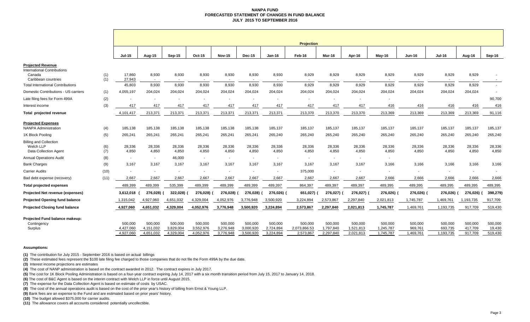#### **NANPA FUND FORECASTED STATEMENT OF CHANGES IN FUND BALANCE JULY 2015 TO SEPTEMBER 2016**

|                                                                          |            | <b>Projection</b>                 |                                   |                                   |                                   |                                   |                                   |                                   |                                      |                                   |                                   |                                   |                                 |                                 |                               |                              |
|--------------------------------------------------------------------------|------------|-----------------------------------|-----------------------------------|-----------------------------------|-----------------------------------|-----------------------------------|-----------------------------------|-----------------------------------|--------------------------------------|-----------------------------------|-----------------------------------|-----------------------------------|---------------------------------|---------------------------------|-------------------------------|------------------------------|
|                                                                          |            | <b>Jul-15</b>                     | Aug-15                            | <b>Sep-15</b>                     | Oct-15                            | <b>Nov-15</b>                     | <b>Dec-15</b>                     | $Jan-16$                          | Feb-16                               | Mar-16                            | Apr-16                            | $May-16$                          | <b>Jun-16</b>                   | <b>Jul-16</b>                   | Aug-16                        | Sep-16                       |
| <b>Projected Revenue</b><br><b>International Contributions</b><br>Canada | (1)        | 17,860                            | 8,930                             | 8,930                             | 8,930                             | 8,930                             | 8,930                             | 8,930                             | 8,929                                | 8,929                             | 8,929                             | 8,929                             | 8,929                           | 8,929                           | 8,929                         |                              |
| Caribbean countries<br><b>Total International Contributions</b>          | (1)        | 27,943<br>45,803                  | $\sim$<br>8,930                   | $\sim$<br>8,930                   | 8,930                             | $\sim$<br>8,930                   | 8,930                             | 8,930                             | 8,929                                | $\sim$<br>8,929                   | $\sim$<br>8,929                   | 8,929                             | 8,929                           | 8,929                           | $\sim$<br>8,929               | $\sim$                       |
| Domestic Contributions - US carriers                                     | (1)        | 4.055.197                         | 204,024                           | 204,024                           | 204,024                           | 204,024                           | 204,024                           | 204.024                           | 204,024                              | 204,024                           | 204,024                           | 204,024                           | 204,024                         | 204,024                         | 204,024                       | $\overline{\phantom{a}}$     |
| Late filing fees for Form 499A                                           | (2)        |                                   |                                   |                                   |                                   |                                   |                                   |                                   |                                      |                                   |                                   |                                   |                                 |                                 |                               | 90,700                       |
| Interest income                                                          | (3)        | 417                               | 417                               | 417                               | 417                               | 417                               | 417                               | 417                               | 417                                  | 417                               | 417                               | 416                               | 416                             | 416                             | 416                           | 416                          |
| Total projected revenue                                                  |            | 4,101,417                         | 213,371                           | 213,371                           | 213,371                           | 213,371                           | 213,371                           | 213,371                           | 213,370                              | 213,370                           | 213,370                           | 213,369                           | 213,369                         | 213,369                         | 213,369                       | 91,116                       |
| <b>Projected Expenses</b><br><b>NANPA Administration</b>                 | (4)        | 185,138                           | 185,138                           | 185,138                           | 185,138                           | 185,138                           | 185,138                           | 185,137                           | 185,137                              | 185,137                           | 185,137                           | 185,137                           | 185,137                         | 185,137                         | 185,137                       | 185,137                      |
| 1K Block Pooling                                                         | (5)        | 265,241                           | 265,241                           | 265,241                           | 265,241                           | 265,241                           | 265,241                           | 265,240                           | 265,240                              | 265,240                           | 265,240                           | 265,240                           | 265,240                         | 265,240                         | 265,240                       | 265,240                      |
| <b>Billing and Collection</b><br>Welch LLP<br>Data Collection Agent      | (6)<br>(7) | 28,336<br>4,850                   | 28,336<br>4,850                   | 28,336<br>4,850                   | 28,336<br>4,850                   | 28,336<br>4,850                   | 28,336<br>4,850                   | 28,336<br>4,850                   | 28,336<br>4,850                      | 28,336<br>4,850                   | 28,336<br>4,850                   | 28,336<br>4,850                   | 28,336<br>4,850                 | 28,336<br>4,850                 | 28,336<br>4,850               | 28,336<br>4,850              |
| <b>Annual Operations Audit</b>                                           | (8)        | $\sim$                            | $\sim$                            | 46,000                            | $\sim$                            | $\sim$                            | $\overline{\phantom{a}}$          | $\overline{\phantom{a}}$          | $\overline{a}$                       | $\overline{\phantom{a}}$          | $\overline{\phantom{a}}$          | $\sim$                            |                                 |                                 |                               |                              |
| <b>Bank Charges</b>                                                      | (9)        | 3,167                             | 3,167                             | 3,167                             | 3,167                             | 3,167                             | 3,167                             | 3,167                             | 3,167                                | 3,167                             | 3,167                             | 3,166                             | 3,166                           | 3,166                           | 3,166                         | 3,166                        |
| <b>Carrier Audits</b>                                                    | (10)       |                                   | $\sim$                            | $\sim$                            | $\overline{\phantom{a}}$          | $\overline{\phantom{a}}$          | $\sim$                            | $\overline{\phantom{a}}$          | 375,000                              | $\overline{\phantom{a}}$          | $\sim$                            | $\sim$                            | $\overline{\phantom{a}}$        | $\overline{\phantom{a}}$        | $\sim$                        | $\overline{\phantom{a}}$     |
| Bad debt expense (recovery)                                              | (11)       | 2,667                             | 2,667                             | 2,667                             | 2,667                             | 2,667                             | 2,667                             | 2,667                             | 2,667                                | 2,667                             | 2,667                             | 2,666                             | 2,666                           | 2,666                           | 2,666                         | 2,666                        |
| <b>Total projected expenses</b>                                          |            | 489,399                           | 489,399                           | 535,399                           | 489,399                           | 489,399                           | 489,399                           | 489,397                           | 864,397                              | 489,397                           | 489,397                           | 489,395                           | 489,395                         | 489,395                         | 489,395                       | 489,395                      |
| Projected Net revenue (expenses)                                         |            | 3,612,018                         | 276,028)                          | 322,028)                          | 276,028)                          | 276,028)                          | 276,028)                          | 276,026)                          | 651,027)                             | 276,027)                          | 276,027) (                        | 276,026)                          | 276,026)                        | 276,026)                        | 276,026)                      | 398,279)                     |
| <b>Projected Opening fund balance</b>                                    |            | 1,315,042                         | 4,927,060                         | 4,651,032                         | 4,329,004                         | 4,052,976                         | 3,776,948                         | 3,500,920                         | 3,224,894                            | 2,573,867                         | 2,297,840                         | 2,021,813                         | 1,745,787                       | 1,469,761                       | 1,193,735                     | 917,709                      |
| <b>Projected Closing fund balance</b>                                    |            | 4,927,060                         | 4,651,032                         | 4,329,004                         | 4,052,976                         | 3,776,948                         | 3,500,920                         | 3,224,894                         | 2,573,867                            | 2,297,840                         | 2,021,813                         | 1,745,787                         | 1,469,761                       | 1,193,735                       | 917,709                       | 519,430                      |
| Projected Fund balance makeup:<br>Contingency<br>Surplus                 |            | 500,000<br>4,427,060<br>4.927.060 | 500.000<br>4,151,032<br>4,651,032 | 500.000<br>3,829,004<br>4,329,004 | 500,000<br>3,552,976<br>4,052,976 | 500,000<br>3,276,948<br>3,776,948 | 500,000<br>3,000,920<br>3,500,920 | 500,000<br>2,724,894<br>3,224,894 | 500,000<br>2,073,866.53<br>2,573,867 | 500,000<br>1,797,840<br>2,297,840 | 500,000<br>1,521,813<br>2,021,813 | 500,000<br>1,245,787<br>1,745,787 | 500,000<br>969,761<br>1,469,761 | 500,000<br>693,735<br>1,193,735 | 500,000<br>417,709<br>917,709 | 500,000<br>19,430<br>519,430 |

#### **Assumptions:**

**(1)** The contribution for July 2015 - September 2016 is based on actual billings

**(2)** These estimated fees represent the \$100 late filing fee charged to those companies that do not file the Form 499A by the due date.

**(3)** Interest income projections are estimates

**(4)** The cost of NANP administration is based on the contract awarded in 2012. The contract expires in July 2017.

**(5)** The cost for 1K Block Pooling Administration is based on a four-year contract expiring July 14, 2017 with a six month transition period from July 15, 2017 to January 14, 2018.

**(6)** The cost of B&C Agent is based on the interim contract with Welch LLP in force until August 2015.

**(7)** The expense for the Data Collection Agent is based on estimate of costs by USAC.

**(8)** The cost of the annual operations audit is based on the cost of the prior year's history of billing from Ernst & Young LLP.

**(9)** Bank fees are an expense to the Fund and are estimated based on prior years' history.

**(10)** The budget allowed \$375,000 for carrier audits.

**(11)** The allowance covers all accounts considered potentially uncollectible.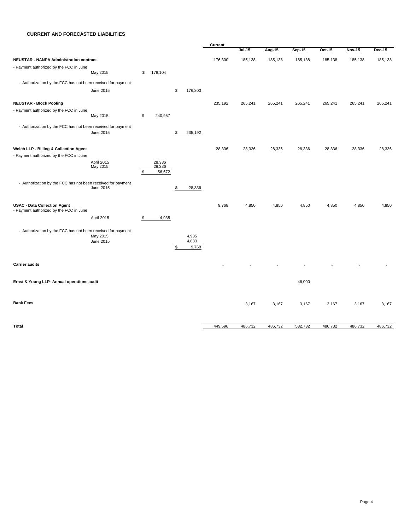#### **CURRENT AND FORECASTED LIABILITIES**

|                                                                                |                        |    |                            |                               | Current |               |         |         |         |         |         |
|--------------------------------------------------------------------------------|------------------------|----|----------------------------|-------------------------------|---------|---------------|---------|---------|---------|---------|---------|
|                                                                                |                        |    |                            |                               |         | <u>Jul-15</u> | Aug-15  | Sep-15  | Oct-15  | Nov-15  | Dec-15  |
| NEUSTAR - NANPA Administration contract                                        |                        |    |                            |                               | 176,300 | 185,138       | 185,138 | 185,138 | 185,138 | 185,138 | 185,138 |
| - Payment authorized by the FCC in June                                        | May 2015               | \$ | 178,104                    |                               |         |               |         |         |         |         |         |
| - Authorization by the FCC has not been received for payment                   |                        |    |                            |                               |         |               |         |         |         |         |         |
|                                                                                | June 2015              |    |                            | \$<br>176,300                 |         |               |         |         |         |         |         |
| <b>NEUSTAR - Block Pooling</b>                                                 |                        |    |                            |                               | 235,192 | 265,241       | 265,241 | 265,241 | 265,241 | 265,241 | 265,241 |
| - Payment authorized by the FCC in June                                        | May 2015               | \$ | 240,957                    |                               |         |               |         |         |         |         |         |
| - Authorization by the FCC has not been received for payment                   | June 2015              |    |                            | \$<br>235,192                 |         |               |         |         |         |         |         |
| Welch LLP - Billing & Collection Agent                                         |                        |    |                            |                               | 28,336  | 28,336        | 28,336  | 28,336  | 28,336  | 28,336  | 28,336  |
| - Payment authorized by the FCC in June                                        |                        |    |                            |                               |         |               |         |         |         |         |         |
|                                                                                | April 2015<br>May 2015 | S  | 28,336<br>28,336<br>56,672 |                               |         |               |         |         |         |         |         |
| - Authorization by the FCC has not been received for payment                   |                        |    |                            |                               |         |               |         |         |         |         |         |
|                                                                                | June 2015              |    |                            | \$<br>28,336                  |         |               |         |         |         |         |         |
| <b>USAC - Data Collection Agent</b><br>- Payment authorized by the FCC in June |                        |    |                            |                               | 9,768   | 4,850         | 4,850   | 4,850   | 4,850   | 4,850   | 4,850   |
|                                                                                | April 2015             | \$ | 4,935                      |                               |         |               |         |         |         |         |         |
| - Authorization by the FCC has not been received for payment                   |                        |    |                            |                               |         |               |         |         |         |         |         |
|                                                                                | May 2015<br>June 2015  |    |                            | \$<br>4,935<br>4,833<br>9,768 |         |               |         |         |         |         |         |
|                                                                                |                        |    |                            |                               |         |               |         |         |         |         |         |
| <b>Carrier audits</b>                                                          |                        |    |                            |                               |         |               |         |         |         |         |         |
| Ernst & Young LLP- Annual operations audit                                     |                        |    |                            |                               |         |               |         | 46,000  |         |         |         |
|                                                                                |                        |    |                            |                               |         |               |         |         |         |         |         |
| <b>Bank Fees</b>                                                               |                        |    |                            |                               |         | 3,167         | 3,167   | 3,167   | 3,167   | 3,167   | 3,167   |
|                                                                                |                        |    |                            |                               |         |               |         |         |         |         |         |
| Total                                                                          |                        |    |                            |                               | 449,596 | 486,732       | 486,732 | 532,732 | 486,732 | 486,732 | 486,732 |